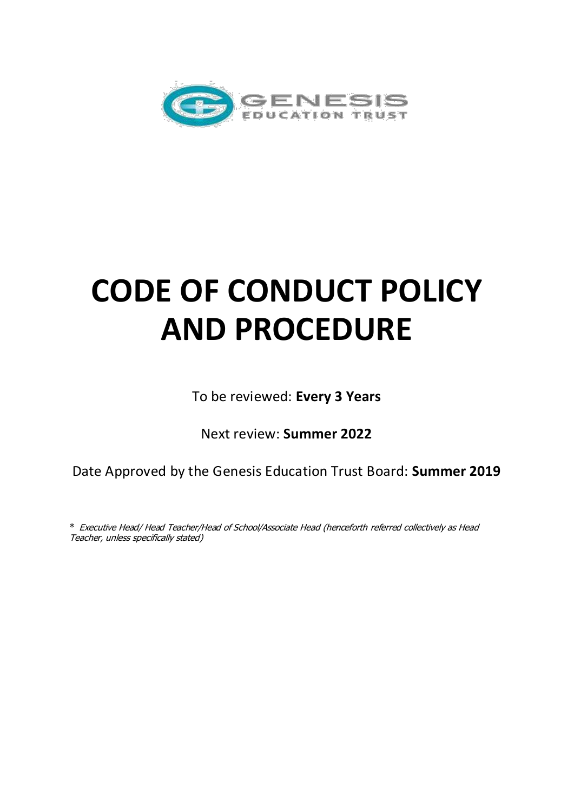

# **CODE OF CONDUCT POLICY AND PROCEDURE**

To be reviewed: **Every 3 Years** 

Next review: **Summer 2022** 

Date Approved by the Genesis Education Trust Board: **Summer 2019** 

\* Executive Head/ Head Teacher/Head of School/Associate Head (henceforth referred collectively as Head Teacher, unless specifically stated)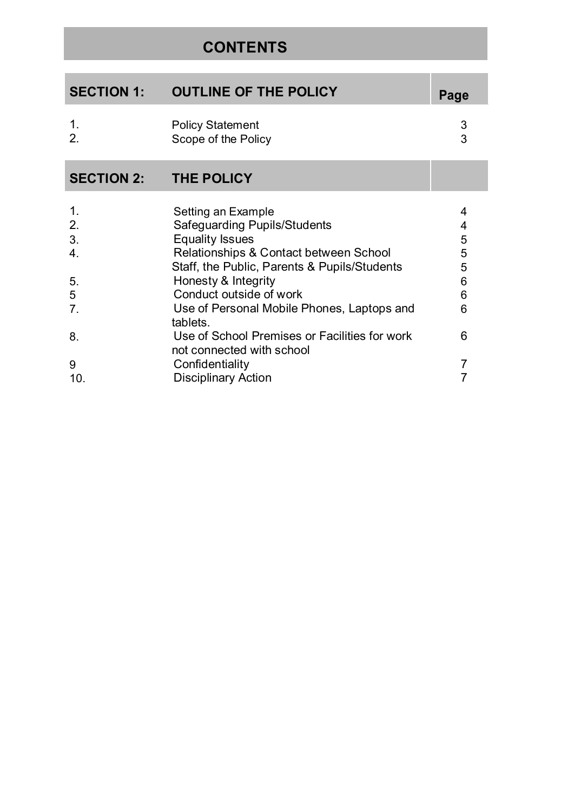# **CONTENTS**

| <b>SECTION 1:</b> | <b>OUTLINE OF THE POLICY</b>                   | Page |
|-------------------|------------------------------------------------|------|
|                   | <b>Policy Statement</b><br>Scope of the Policy |      |

# **SECTION 2: THE POLICY**

| $\mathbf 1$     | Setting an Example                                                         | 4 |
|-----------------|----------------------------------------------------------------------------|---|
| 2.              | <b>Safeguarding Pupils/Students</b>                                        | 4 |
| 3.              | <b>Equality Issues</b>                                                     | 5 |
| 4.              | Relationships & Contact between School                                     | 5 |
|                 | Staff, the Public, Parents & Pupils/Students                               | 5 |
| 5.              | Honesty & Integrity                                                        | 6 |
| 5               | Conduct outside of work                                                    | 6 |
| 7.              | Use of Personal Mobile Phones, Laptops and<br>tablets.                     | 6 |
| 8.              | Use of School Premises or Facilities for work<br>not connected with school | 6 |
| 9               | Confidentiality                                                            |   |
| 10 <sub>1</sub> | <b>Disciplinary Action</b>                                                 |   |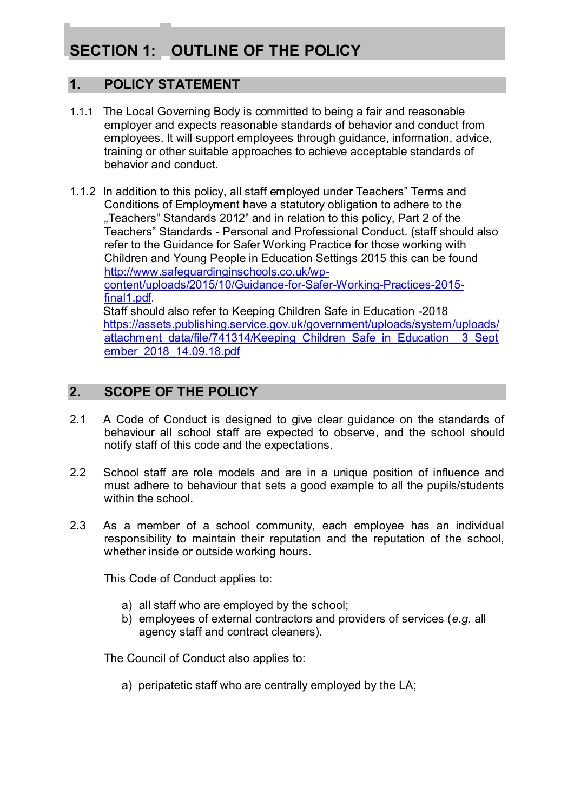# **SECTION 1: OUTLINE OF THE POLICY**

## **1. POLICY STATEMENT**

- 1.1.1 The Local Governing Body is committed to being a fair and reasonable employer and expects reasonable standards of behavior and conduct from employees. It will support employees through guidance, information, advice, training or other suitable approaches to achieve acceptable standards of behavior and conduct.
- 1.1.2 In addition to this policy, all staff employed under Teachers" Terms and Conditions of Employment have a statutory obligation to adhere to the "Teachers" Standards 2012" and in relation to this policy, Part 2 of the Teachers" Standards - Personal and Professional Conduct. (staff should also refer to the Guidance for Safer Working Practice for those working with Children and Young People in Education Settings 2015 this can be found [http://www.safeguardinginschools.co.uk/wp](http://www.safeguardinginschools.co.uk/wp-content/uploads/2015/10/Guidance-for-Safer-Working-Practices-2015-final1.pdf)[content/uploads/2015/10/Guidance-for-Safer-Working-Practices-2015](http://www.safeguardinginschools.co.uk/wp-content/uploads/2015/10/Guidance-for-Safer-Working-Practices-2015-final1.pdf) [final1.pdf](http://www.safeguardinginschools.co.uk/wp-content/uploads/2015/10/Guidance-for-Safer-Working-Practices-2015-final1.pdf).

Staff should also refer to Keeping Children Safe in Education -2018 [https://assets.publishing.service.gov.uk/government/uploads/system/uploads/](https://assets.publishing.service.gov.uk/government/uploads/system/uploads/attachment_data/file/741314/Keeping_Children_Safe_in_Education__3_September_2018_14.09.18.pdf) attachment data/file/741314/Keeping Children Safe in Education 3 Sept [ember\\_2018\\_14.09.18.pdf](https://assets.publishing.service.gov.uk/government/uploads/system/uploads/attachment_data/file/741314/Keeping_Children_Safe_in_Education__3_September_2018_14.09.18.pdf) 

## **2. SCOPE OF THE POLICY**

- 2.1 A Code of Conduct is designed to give clear guidance on the standards of behaviour all school staff are expected to observe, and the school should notify staff of this code and the expectations.
- 2.2 School staff are role models and are in a unique position of influence and must adhere to behaviour that sets a good example to all the pupils/students within the school
- 2.3 As a member of a school community, each employee has an individual responsibility to maintain their reputation and the reputation of the school, whether inside or outside working hours.

This Code of Conduct applies to:

- a) all staff who are employed by the school;
- b) employees of external contractors and providers of services (*e.g.* all agency staff and contract cleaners).

The Council of Conduct also applies to:

a) peripatetic staff who are centrally employed by the LA;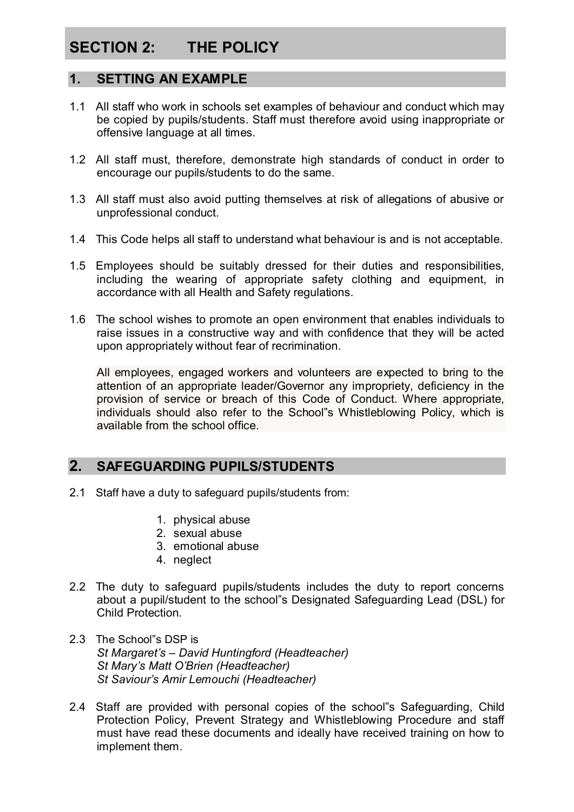# **SECTION 2: THE POLICY**

#### **1. SETTING AN EXAMPLE**

- 1.1 All staff who work in schools set examples of behaviour and conduct which may be copied by pupils/students. Staff must therefore avoid using inappropriate or offensive language at all times.
- 1.2 All staff must, therefore, demonstrate high standards of conduct in order to encourage our pupils/students to do the same.
- 1.3 All staff must also avoid putting themselves at risk of allegations of abusive or unprofessional conduct.
- 1.4 This Code helps all staff to understand what behaviour is and is not acceptable.
- 1.5 Employees should be suitably dressed for their duties and responsibilities, including the wearing of appropriate safety clothing and equipment, in accordance with all Health and Safety regulations.
- 1.6 The school wishes to promote an open environment that enables individuals to raise issues in a constructive way and with confidence that they will be acted upon appropriately without fear of recrimination.

All employees, engaged workers and volunteers are expected to bring to the attention of an appropriate leader/Governor any impropriety, deficiency in the provision of service or breach of this Code of Conduct. Where appropriate, individuals should also refer to the School"s Whistleblowing Policy, which is available from the school office.

## **2. SAFEGUARDING PUPILS/STUDENTS**

- 2.1 Staff have a duty to safeguard pupils/students from:
	- 1. physical abuse
	- 2. sexual abuse
	- 3. emotional abuse
	- 4. neglect
- 2.2 The duty to safeguard pupils/students includes the duty to report concerns about a pupil/student to the school"s Designated Safeguarding Lead (DSL) for Child Protection.
- 2.3 The School"s DSP is *St Margaret's – David Huntingford (Headteacher) St Mary's Matt O'Brien (Headteacher) St Saviour's Amir Lemouchi (Headteacher)*
- 2.4 Staff are provided with personal copies of the school"s Safeguarding, Child Protection Policy, Prevent Strategy and Whistleblowing Procedure and staff must have read these documents and ideally have received training on how to implement them.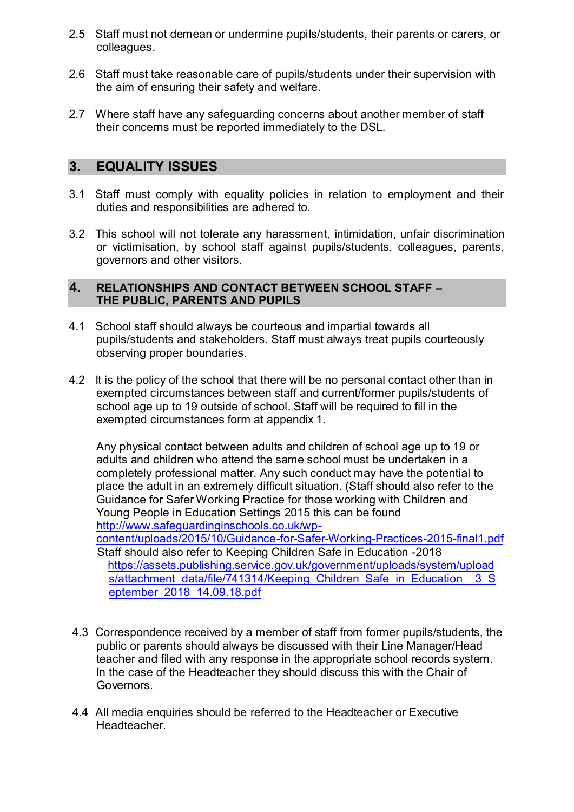- 2.5 Staff must not demean or undermine pupils/students, their parents or carers, or colleagues.
- 2.6 Staff must take reasonable care of pupils/students under their supervision with the aim of ensuring their safety and welfare.
- 2.7 Where staff have any safeguarding concerns about another member of staff their concerns must be reported immediately to the DSL.

#### **3. EQUALITY ISSUES**

- 3.1 Staff must comply with equality policies in relation to employment and their duties and responsibilities are adhered to.
- 3.2 This school will not tolerate any harassment, intimidation, unfair discrimination or victimisation, by school staff against pupils/students, colleagues, parents, governors and other visitors.

#### **4. RELATIONSHIPS AND CONTACT BETWEEN SCHOOL STAFF – THE PUBLIC, PARENTS AND PUPILS**

- 4.1 School staff should always be courteous and impartial towards all pupils/students and stakeholders. Staff must always treat pupils courteously observing proper boundaries.
- 4.2 It is the policy of the school that there will be no personal contact other than in exempted circumstances between staff and current/former pupils/students of school age up to 19 outside of school. Staff will be required to fill in the exempted circumstances form at appendix 1.

Any physical contact between adults and children of school age up to 19 or adults and children who attend the same school must be undertaken in a completely professional matter. Any such conduct may have the potential to place the adult in an extremely difficult situation. (Staff should also refer to the Guidance for Safer Working Practice for those working with Children and Young People in Education Settings 2015 this can be found [http://www.safeguardinginschools.co.uk/wp-](http://www.safeguardinginschools.co.uk/wp-content/uploads/2015/10/Guidance-for-Safer-Working-Practices-2015-final1.pdf)

[content/uploads/2015/10/Guidance-for-Safer-Working-Practices-2015-final1.pdf](http://www.safeguardinginschools.co.uk/wp-content/uploads/2015/10/Guidance-for-Safer-Working-Practices-2015-final1.pdf) Staff should also refer to Keeping Children Safe in Education -2018 [https://assets.publishing.service.gov.uk/government/uploads/system/upload](https://assets.publishing.service.gov.uk/government/uploads/system/uploads/attachment_data/file/741314/Keeping_Children_Safe_in_Education__3_September_2018_14.09.18.pdf) s/attachment\_data/file/741314/Keeping\_Children\_Safe\_in\_Education\_3\_S [eptember\\_2018\\_14.09.18.pdf](https://assets.publishing.service.gov.uk/government/uploads/system/uploads/attachment_data/file/741314/Keeping_Children_Safe_in_Education__3_September_2018_14.09.18.pdf) 

- 4.3 Correspondence received by a member of staff from former pupils/students, the public or parents should always be discussed with their Line Manager/Head teacher and filed with any response in the appropriate school records system. In the case of the Headteacher they should discuss this with the Chair of Governors.
- 4.4 All media enquiries should be referred to the Headteacher or Executive **Headteacher**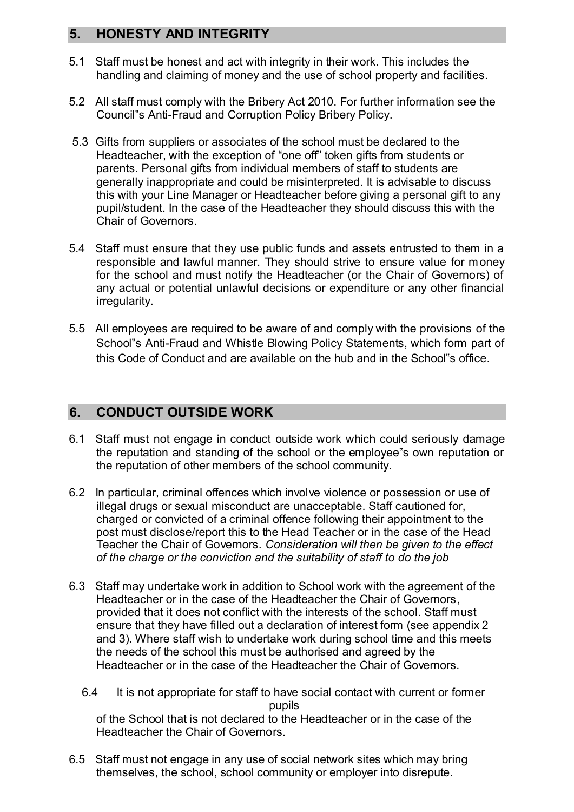## **5. HONESTY AND INTEGRITY**

- 5.1 Staff must be honest and act with integrity in their work. This includes the handling and claiming of money and the use of school property and facilities.
- 5.2 All staff must comply with the Bribery Act 2010. For further information see the Council"s Anti-Fraud and Corruption Policy Bribery Policy.
- 5.3 Gifts from suppliers or associates of the school must be declared to the Headteacher, with the exception of "one off" token gifts from students or parents. Personal gifts from individual members of staff to students are generally inappropriate and could be misinterpreted. It is advisable to discuss this with your Line Manager or Headteacher before giving a personal gift to any pupil/student. In the case of the Headteacher they should discuss this with the Chair of Governors.
- 5.4 Staff must ensure that they use public funds and assets entrusted to them in a responsible and lawful manner. They should strive to ensure value for money for the school and must notify the Headteacher (or the Chair of Governors) of any actual or potential unlawful decisions or expenditure or any other financial irregularity.
- 5.5 All employees are required to be aware of and comply with the provisions of the School"s Anti-Fraud and Whistle Blowing Policy Statements, which form part of this Code of Conduct and are available on the hub and in the School"s office.

## **6. CONDUCT OUTSIDE WORK**

- 6.1 Staff must not engage in conduct outside work which could seriously damage the reputation and standing of the school or the employee"s own reputation or the reputation of other members of the school community.
- 6.2 In particular, criminal offences which involve violence or possession or use of illegal drugs or sexual misconduct are unacceptable. Staff cautioned for, charged or convicted of a criminal offence following their appointment to the post must disclose/report this to the Head Teacher or in the case of the Head Teacher the Chair of Governors. *Consideration will then be given to the effect of the charge or the conviction and the suitability of staff to do the job*
- 6.3 Staff may undertake work in addition to School work with the agreement of the Headteacher or in the case of the Headteacher the Chair of Governors, provided that it does not conflict with the interests of the school. Staff must ensure that they have filled out a declaration of interest form (see appendix 2 and 3). Where staff wish to undertake work during school time and this meets the needs of the school this must be authorised and agreed by the Headteacher or in the case of the Headteacher the Chair of Governors.
	- 6.4 It is not appropriate for staff to have social contact with current or former pupils of the School that is not declared to the Headteacher or in the case of the Headteacher the Chair of Governors.
- 6.5 Staff must not engage in any use of social network sites which may bring themselves, the school, school community or employer into disrepute.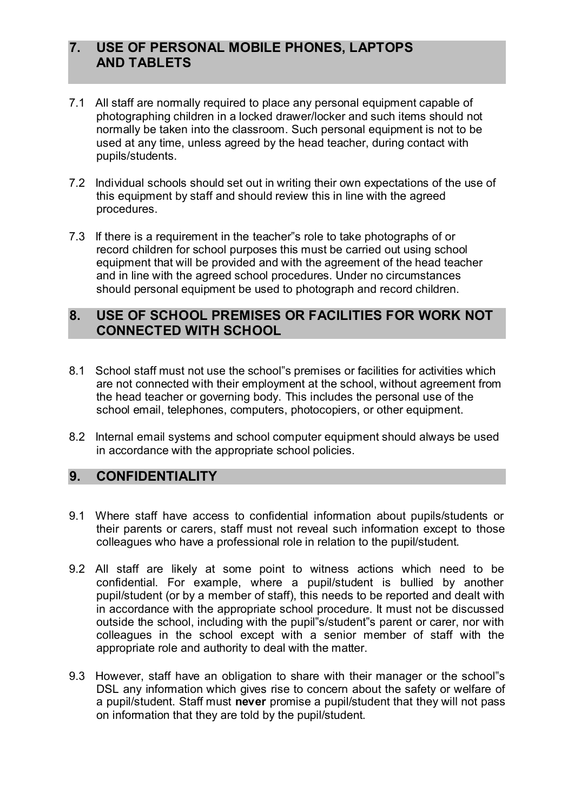## **7. USE OF PERSONAL MOBILE PHONES, LAPTOPS AND TABLETS**

- 7.1 All staff are normally required to place any personal equipment capable of photographing children in a locked drawer/locker and such items should not normally be taken into the classroom. Such personal equipment is not to be used at any time, unless agreed by the head teacher, during contact with pupils/students.
- 7.2 Individual schools should set out in writing their own expectations of the use of this equipment by staff and should review this in line with the agreed procedures.
- 7.3 If there is a requirement in the teacher"s role to take photographs of or record children for school purposes this must be carried out using school equipment that will be provided and with the agreement of the head teacher and in line with the agreed school procedures. Under no circumstances should personal equipment be used to photograph and record children.

#### **8. USE OF SCHOOL PREMISES OR FACILITIES FOR WORK NOT CONNECTED WITH SCHOOL**

- 8.1 School staff must not use the school"s premises or facilities for activities which are not connected with their employment at the school, without agreement from the head teacher or governing body. This includes the personal use of the school email, telephones, computers, photocopiers, or other equipment.
- 8.2 Internal email systems and school computer equipment should always be used in accordance with the appropriate school policies.

#### **9. CONFIDENTIALITY**

- 9.1 Where staff have access to confidential information about pupils/students or their parents or carers, staff must not reveal such information except to those colleagues who have a professional role in relation to the pupil/student.
- 9.2 All staff are likely at some point to witness actions which need to be confidential. For example, where a pupil/student is bullied by another pupil/student (or by a member of staff), this needs to be reported and dealt with in accordance with the appropriate school procedure. It must not be discussed outside the school, including with the pupil"s/student"s parent or carer, nor with colleagues in the school except with a senior member of staff with the appropriate role and authority to deal with the matter.
- 9.3 However, staff have an obligation to share with their manager or the school"s DSL any information which gives rise to concern about the safety or welfare of a pupil/student. Staff must **never** promise a pupil/student that they will not pass on information that they are told by the pupil/student.